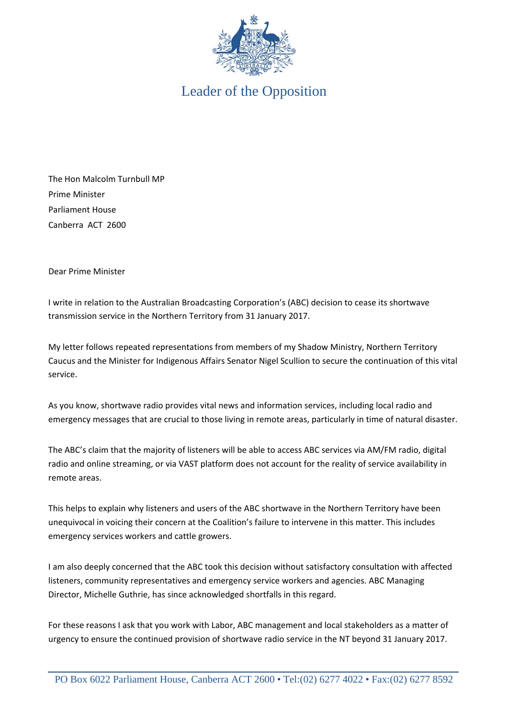

Leader of the Opposition

The Hon Malcolm Turnbull MP Prime Minister Parliament House Canberra ACT 2600

Dear Prime Minister

I write in relation to the Australian Broadcasting Corporation's (ABC) decision to cease its shortwave transmission service in the Northern Territory from 31 January 2017.

My letter follows repeated representations from members of my Shadow Ministry, Northern Territory Caucus and the Minister for Indigenous Affairs Senator Nigel Scullion to secure the continuation of this vital service.

As you know, shortwave radio provides vital news and information services, including local radio and emergency messages that are crucial to those living in remote areas, particularly in time of natural disaster.

The ABC's claim that the majority of listeners will be able to access ABC services via AM/FM radio, digital radio and online streaming, or via VAST platform does not account for the reality of service availability in remote areas.

This helps to explain why listeners and users of the ABC shortwave in the Northern Territory have been unequivocal in voicing their concern at the Coalition's failure to intervene in this matter. This includes emergency services workers and cattle growers.

I am also deeply concerned that the ABC took this decision without satisfactory consultation with affected listeners, community representatives and emergency service workers and agencies. ABC Managing Director, Michelle Guthrie, has since acknowledged shortfalls in this regard.

For these reasons I ask that you work with Labor, ABC management and local stakeholders as a matter of urgency to ensure the continued provision of shortwave radio service in the NT beyond 31 January 2017.